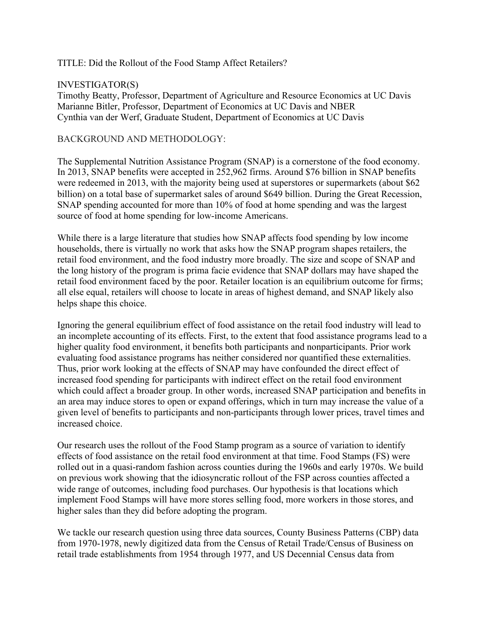## TITLE: Did the Rollout of the Food Stamp Affect Retailers?

## INVESTIGATOR(S)

Timothy Beatty, Professor, Department of Agriculture and Resource Economics at UC Davis Marianne Bitler, Professor, Department of Economics at UC Davis and NBER Cynthia van der Werf, Graduate Student, Department of Economics at UC Davis

# BACKGROUND AND METHODOLOGY:

The Supplemental Nutrition Assistance Program (SNAP) is a cornerstone of the food economy. In 2013, SNAP benefits were accepted in 252,962 firms. Around \$76 billion in SNAP benefits were redeemed in 2013, with the majority being used at superstores or supermarkets (about \$62 billion) on a total base of supermarket sales of around \$649 billion. During the Great Recession, SNAP spending accounted for more than 10% of food at home spending and was the largest source of food at home spending for low-income Americans.

While there is a large literature that studies how SNAP affects food spending by low income households, there is virtually no work that asks how the SNAP program shapes retailers, the retail food environment, and the food industry more broadly. The size and scope of SNAP and the long history of the program is prima facie evidence that SNAP dollars may have shaped the retail food environment faced by the poor. Retailer location is an equilibrium outcome for firms; all else equal, retailers will choose to locate in areas of highest demand, and SNAP likely also helps shape this choice.

Ignoring the general equilibrium effect of food assistance on the retail food industry will lead to an incomplete accounting of its effects. First, to the extent that food assistance programs lead to a higher quality food environment, it benefits both participants and nonparticipants. Prior work evaluating food assistance programs has neither considered nor quantified these externalities. Thus, prior work looking at the effects of SNAP may have confounded the direct effect of increased food spending for participants with indirect effect on the retail food environment which could affect a broader group. In other words, increased SNAP participation and benefits in an area may induce stores to open or expand offerings, which in turn may increase the value of a given level of benefits to participants and non-participants through lower prices, travel times and increased choice.

Our research uses the rollout of the Food Stamp program as a source of variation to identify effects of food assistance on the retail food environment at that time. Food Stamps (FS) were rolled out in a quasi-random fashion across counties during the 1960s and early 1970s. We build on previous work showing that the idiosyncratic rollout of the FSP across counties affected a wide range of outcomes, including food purchases. Our hypothesis is that locations which implement Food Stamps will have more stores selling food, more workers in those stores, and higher sales than they did before adopting the program.

We tackle our research question using three data sources, County Business Patterns (CBP) data from 1970-1978, newly digitized data from the Census of Retail Trade/Census of Business on retail trade establishments from 1954 through 1977, and US Decennial Census data from